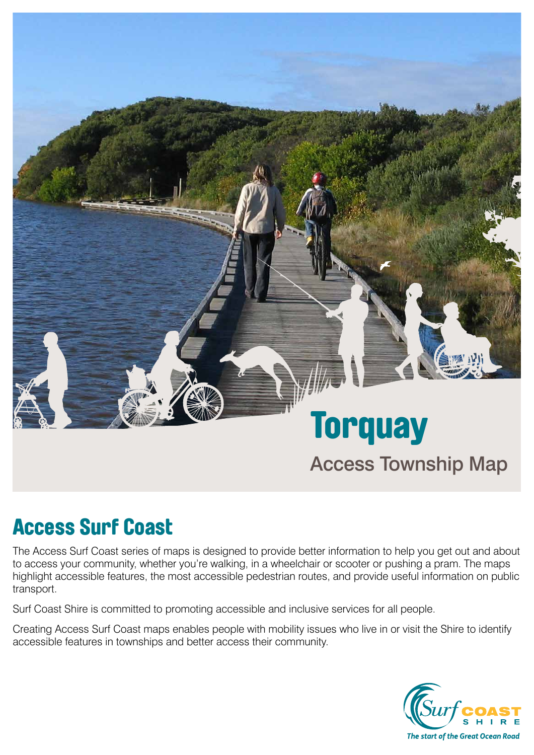

# Access Surf Coast

The Access Surf Coast series of maps is designed to provide better information to help you get out and about to access your community, whether you're walking, in a wheelchair or scooter or pushing a pram. The maps highlight accessible features, the most accessible pedestrian routes, and provide useful information on public transport.

Surf Coast Shire is committed to promoting accessible and inclusive services for all people.

Creating Access Surf Coast maps enables people with mobility issues who live in or visit the Shire to identify accessible features in townships and better access their community.

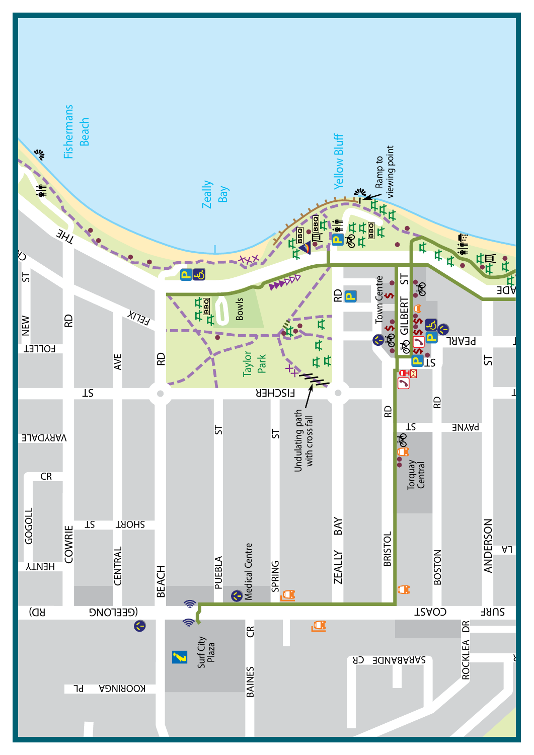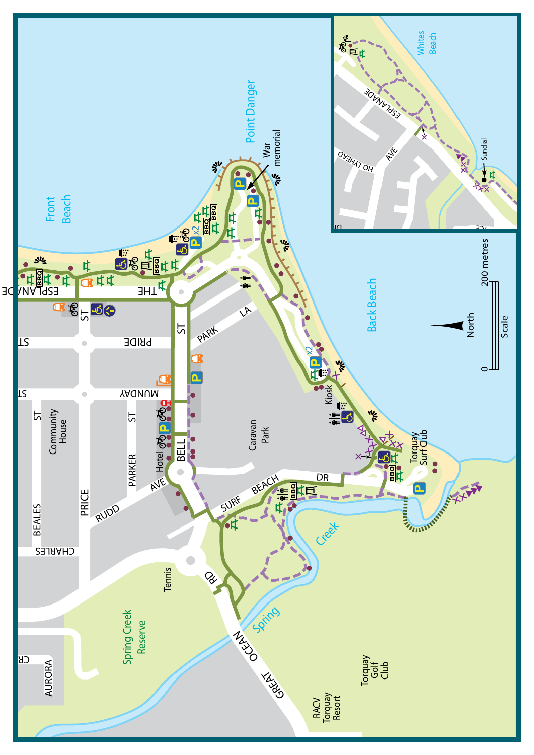